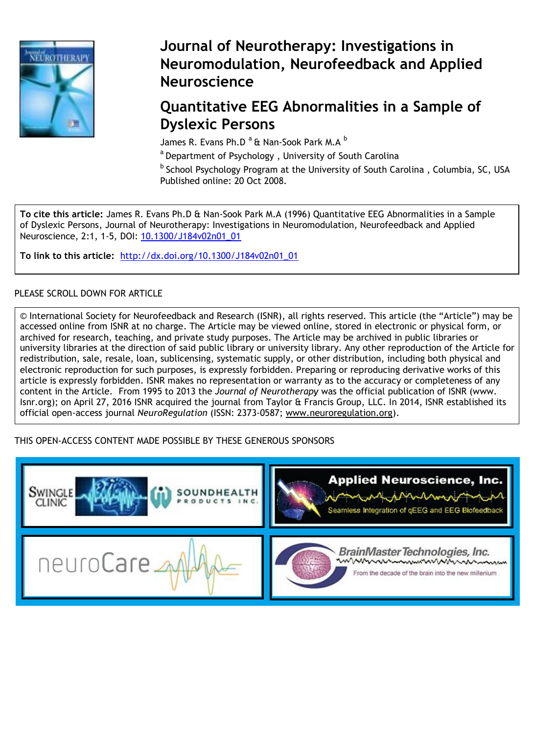

## **Journal of Neurotherapy: Investigations in Neuromodulation, Neurofeedback and Applied Neuroscience**

## **Quantitative EEG Abnormalities in a Sample of Dyslexic Persons**

James R. Evans Ph.D<sup>a</sup> & Nan-Sook Park M.A <sup>b</sup>

a Department of Psychology, University of South Carolina

 $^{\rm b}$  School Psychology Program at the University of South Carolina, Columbia, SC, USA Published online: 20 Oct 2008.

**To cite this article:** James R. Evans Ph.D & Nan-Sook Park M.A (1996) Quantitative EEG Abnormalities in a Sample of Dyslexic Persons, Journal of Neurotherapy: Investigations in Neuromodulation, Neurofeedback and Applied Neuroscience, 2:1, 1-5, DOI: 10.1300/J184v02n01\_01

**To link to this article:** [http://dx.doi.org/10.1300/J184v02n01\\_01](http://dx.doi.org/10.1300/J184v02n01_01)

## PLEASE SCROLL DOWN FOR ARTICLE

© International Society for Neurofeedback and Research (ISNR), all rights reserved. This article (the "Article") may be accessed online from ISNR at no charge. The Article may be viewed online, stored in electronic or physical form, or archived for research, teaching, and private study purposes. The Article may be archived in public libraries or university libraries at the direction of said public library or university library. Any other reproduction of the Article for redistribution, sale, resale, loan, sublicensing, systematic supply, or other distribution, including both physical and electronic reproduction for such purposes, is expressly forbidden. Preparing or reproducing derivative works of this article is expressly forbidden. ISNR makes no representation or warranty as to the accuracy or completeness of any content in the Article. From 1995 to 2013 the *Journal of Neurotherapy* was the official publication of ISNR (www. Isnr.org); on April 27, 2016 ISNR acquired the journal from Taylor & Francis Group, LLC. In 2014, ISNR established its official open-access journal *NeuroRegulation* (ISSN: 2373-0587; [www.neuroregulation.org\)](http://www.neuroregulation.org/).

## THIS OPEN-ACCESS CONTENT MADE POSSIBLE BY THESE GENEROUS SPONSORS

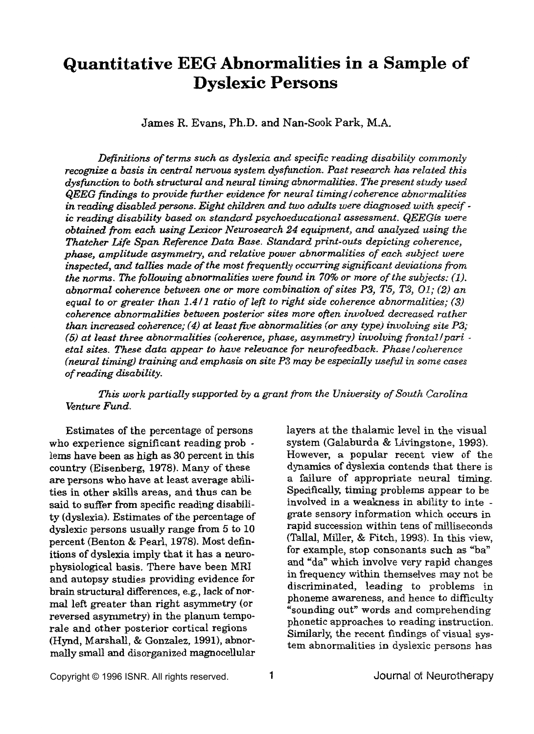# **Quantitative EEG Abnormalities in a Sample of Dyslexic Persons**

James R. **Evans,** Ph.D. **and Nan-Sook Park, M.A.** 

*Definitions of terms such* **as** *dyslexia and specific reading disability commonly recognize a basis in central nervous system dysfunction. Past research has related this dysfunction to both structural and neural timing abnormalities. The present study used QEEG findings to provide further evidence for neural timing lcoherence abnormalities in reading disabled persons. Eight children and two adults were diagnosed with specif ic reading disability based on standard psychoeducational assessment. QEEGik were obtained from each using Laicor Neurosearch 24 equipment, and analyzed* **using** *the Thatcher Life Span Reference Data Base. Standard print-outs depicting coherence, phase, amplitude asymmetry, and relative power abnormalities of each subject were inspected, and tallies made of the most frequently occurring significant deviations from the norms. The folikwing abnormalities were found in 70% or more of the subjects: (1). abnormal coherence between one or more combination of sites P3, T5, T3, 01; (2) an equal to or greater than 1.4 11 ratio of left to right side coherence abnormalities; (3) coherence abnormalities between posterior sites more ofien involved decreased rather than increased coherence; (4) at least five abnormalities (or any type) involving site P3; (5) at least three abnormalities (coherence, phase, asymmetry) involving fiontal fpari etal sites. These data appear to have relevance for neurofeedback. Phase lcoherence (neural timing) training and emphasis on site P3 may be especially useful in some cases of reading disability.* 

*This work partially supported by a grant from the University of South Carolina Venture Fund.* 

Estimates of the percentage of persons who experience significant reading prob lems have been **as** high as 30 percent in this country (Eisenberg, 1978). Many of these are persons who have at least average abilities in other skills areas, and thus **can be said** to suffer from specific reading disability (dyslexia). Estimates of the percentage of dyslexic persons usually range from 5 to 10 percent (Benton & Pearl, 1978). Most definitions of dyslexia imply that it has a neurophysiological basis. There have been MRI and autopsy studies providing evidence for brain structural differences, e.g., lack of normal left greater than right asymmetry (or reversed asymmetry) in the planum temporale and other posterior cortical regions (Hynd, **Marshall,** & Conzalez, 1991), abnormally small and disorganized magnocellular layers at the thalamic level in the visual system (Galaburda & Livingstone, 1993). However, a **popular** recent view of the **dynamics** of dyslexia contends that there is a failure of appropriate neural timing. Specifically, timing problems appear to be involved in a weakness in ability to inte grate sensory information which occurs in rapid succession within tens of milliseconds (Tallal, Miller, & Fitch, **1993).** In this view, for example, stop consonants such as "ba" and "da" which involve very rapid changes in frequency within themselves may not be discriminated, leading *to* problems in phoneme awareness, and hence to difficulty "sounding out" words and comprehending phonetic approaches to reading instruction. **Similarly,** the recent findings of visual system abnormalities in dyslexic persons has

Copyright © 1996 ISNR. All rights reserved. **1** Journal of Neurotherapy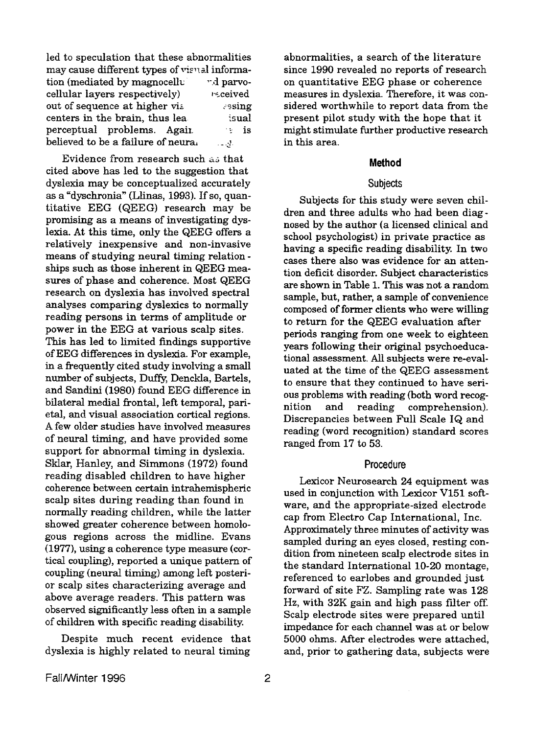led to speculation that these abnormalities may cause different types of *visual* information (mediated by magnocelly  $-d$  parvocellular layers respectively)  $relive$ out of sequence at higher vie sesing<br>centers in the brain, thus lea cisual centers in the brain, thus lea perceptual problems. Again. believed to be a failure of neural  $\frac{1}{2}$  **is** 

cited above has led to the suggestion that dyslexia may be conceptualized accurately as a "dyschronia" (Llinas, 1993). If **so,** quantitative EEG (QEEG) research may be promising **as** a means of investigating dyslexia. At this time, only the QEEG offers a relatively inexpensive and non-invasive means of studying neural timing relation ships such **as** those inherent in QEEG measures *of* phase and coherence. Most QEEG research on dyslexia has involved spectral analyses comparing dyslexics to normally reading persons **in** terms of amplitude or power in the EEG at various scalp sites. **This** has led to limited **findings** supportive *of* EEG differences in dyslexia. For example, in a frequently cited study involving a small number of subjects, Duffy, Denckla, Bartels, and Sandini (1980) found EEG difference in bilateral medial frontal, left temporal, parietal, and visual association cortical regions. **A** few older studies have involved measures of neural timing, **and** have provided some support for abnormal timing in dyslexia. **Sklar,** Hanley, and Simmons (1972) found reading disabled children to have higher coherence between certain intrahemispheric scalp sites during reading than found in normally reading children, while the latter showed greater coherence between homologous regions across the midline. Evans (1977), using a coherence type measure (cortical coupling), reported **a** unique pattern of coupling (neural timing) among left posterior scalp sites characterizing average and above average readers. This pattern was observed significantly less often in a sample of children with specific reading disability. Evidence from research such **~i** that

Despite much recent evidence that dyslexia is highly related to neural timing

abnormalities, a search of the literature since 1990 revealed no reports of research on quantitative EEG phase or coherence measures in dyslexia. Therefore, it was considered worthwhile to report data from the present pilot study with the hope that it might stimulate further productive research in this area.

#### **Method**

#### **Subjects**

Subjects for this study were seven children and three adults who had been diagnosed by the author (a licensed clinical and school psychologist) in private practice as having a specific reading disability. **In** two cases there **also** was evidence for an attention deficit disorder. Subject characteristics are shown in Table 1. **This** was not a random sample, but, rather, a sample of convenience composed of former clients who were willing to return for the QEEG evaluation after periods ranging from one week to eighteen years following their **original** psychoeducational assessment. All subjects were re-evaluated at the time of the QEEG assessment to ensure that they continued to have serious problems with reading (both word recognition and reading comprehension). Discrepancies between Full Scale IQ and reading (word recognition) standard scores ranged from 17 to 53.

#### **Procedure**

Lexicor Neurosearch **24** equipment was used in conjunction with Lexicor **V151** software, and the appropriate-sized electrode cap from Electro Cap International, Inc. Approximately three minutes of activity was sampled during an eyes closed, resting condition from nineteen scalp electrode sites in the standard International 10-20 montage, referenced to earlobes and grounded just forward of site FZ. Sampling rate was 128 Hz, with **32K** gain and high pass filter off. Scalp electrode sites were prepared until impedance for each channel was at or below 5000 ohms. After electrodes were attached, and, prior to gathering data, subjects were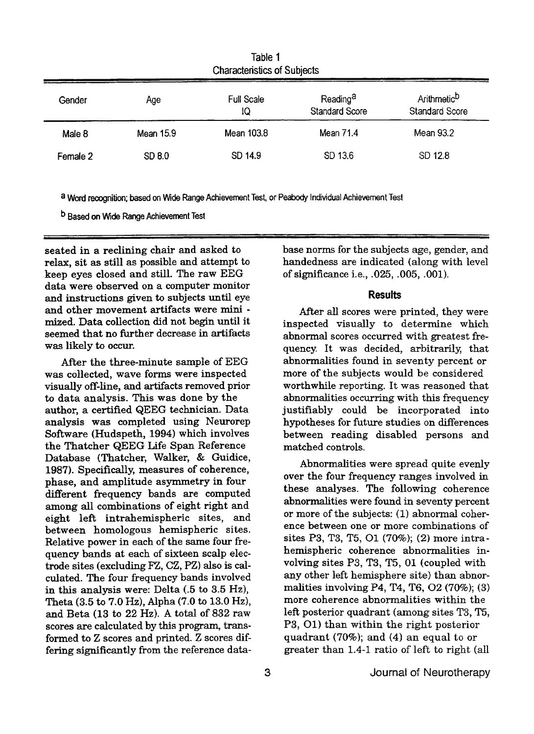| Gender   | Age       | <b>Full Scale</b><br>10 | Reading <sup>a</sup><br><b>Standard Score</b> | Arithmetic <sup>D</sup><br><b>Standard Score</b> |
|----------|-----------|-------------------------|-----------------------------------------------|--------------------------------------------------|
| Male 8   | Mean 15.9 | Mean 103.8              | Mean 71.4                                     | Mean 93.2                                        |
| Female 2 | SD 8.0    | SD 14.9                 | SD 13.6                                       | SD 12.8                                          |

**Table** 1 Characteristics of Subiects

**a Word** recognition; **based on Wide** Range Achievement Test, or **Peabdy** Individual Achievement **Test** 

**Based on Wide** Range Achievement **Test** 

seated in a reclining chair and asked to relax, sit as still **as** possible and attempt to keep eyes closed and still. The raw **EEG**  data were observed on a computer monitor **and** instructions given to subjects until eye and other movement artifacts were mini mized. **Data** collection did not begin until it seemed that no further decrease in artifacts was likely to occur.

After the three-minute sample of EEG was collected, wave forms were inspected visually off-line, and artifacts removed prior to data analysis. This was done by the author, a certified QEEG technician. Data analysis was completed using Neurorep Software (Hudspeth, **1994)** which involves the Thatcher QEEG Life Span Reference Database (Thatcher, Walker, & Guidice, 1987). Specifically, measures of coherence, phase, and amplitude asymmetry **in** four different frequency bands are computed among all combinations of eight right and eight left intrahemispheric sites, and between homologous hemispheric sites. Relative power in each of the same four frequency bands at each of sixteen scalp electrode sites (excluding FZ, CZ, PZ) **also** is calculated. The four frequency bands involved in this analysis were: Delta (-5 to **3.5 Hz),**  Theta **(3.5** to 7.0 *Hz),* Alpha **(7.0** to **13.0** *Hz),*  and Beta **(13** to 22 **Hz). A** total of 832 raw scores are calculated by this program, transformed to Z scores and printed. Z scores differing significantly from the reference data-

base norms for the subjects age, gender, and handedness are indicated (along with level of significance i.e., **-025,** *-005,* **.001).** 

#### **Results**

**After all** scores were printed, they were inspected visually to determine which abnormal scores occurred with greatest frequency. It was decided, arbitrarily, that abnormalities found in seventy percent or more of the subjects would be considered worthwhile reporting. It was reasoned that abnormalities occurring with this frequency justifiably could be incorporated into hypotheses for future studies on differences between reading disabled persons and matched controls.

Abnormalities were spread quite evenly over the four frequency ranges involved in these analyses. The following coherence abnormalities were found in seventy percent or more of the subjects: (1) abnormal coherence between one or more combinations of sites **P3, T3, T5,** 01 (70%); (2) more intrahemispheric coherence abnormalities involving sites **P3,** T3, **T5, 01** (coupled with any other left hemisphere site) than abnormalities involving **P4,** T4, **T6,** 02 (70%); **(3)**  more coherence abnormalities within the left posterior quadrant **(among** sites **T3, T5, P3, 01)** than within the right posterior quadrant *(70%);* and **(4) an** equal to or greater than 1.4-1 ratio of left to right (all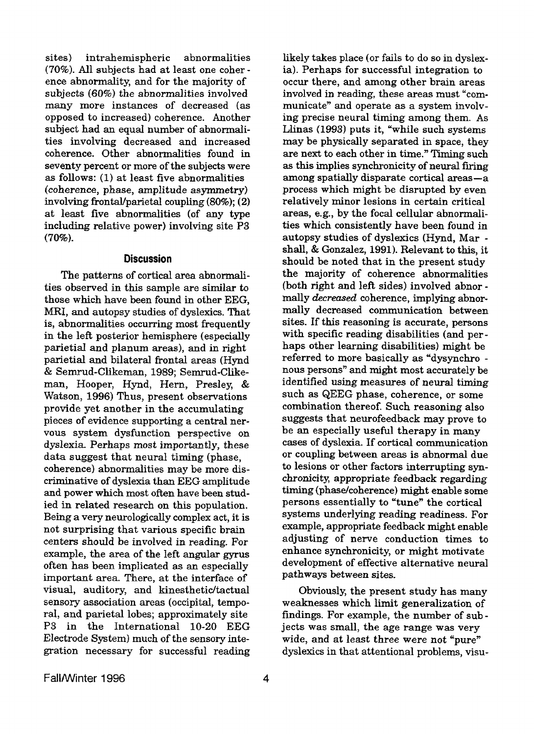sites) intrahemispheric abnormalities (70%). All subjects had at least one coherence abnormality, and for the majority of subjects (60%) the abnormalities involved many more instances of decreased (as opposed to increased) coherence. Another subject had an equal number of abnormalities involving decreased and increased coherence. Other abnormalities found in seventy percent or more of the subjects were **as** follows: (1) at least five abnormalities (coherence, phase, amplitude asymmetry) involving frontaVparietal coupling (80%); **(2)**  at least five abnormalities (of any type including relative power) involving site **P3**  (70%).

#### **Discussion**

The patterns of cortical area abnormalities observed in this sample are similar to those which have been found in other EEG, **MRI,** and autopsy studies of dyslexics. That is, abnormalities occurring most frequently in the left posterior hemisphere (especially parietid and planum areas), and in right parietial and bilateral frontal areas (Hynd & Semrud-Clikeman, 1989; Semrud-Clikeman, Hooper, Hynd, Hern, Presley, & Watson, 1996) Thus, present observations provide yet another in the accumulating pieces of evidence supporting a central nervous system dysfunction perspective on dyslexia. Perhaps most importantly, these data suggest that neural timing (phase, coherence) abnormalities may be more discriminative of dyslexia than EEG amplitude and power which most often have been studied in related research on this population. Being a very neurologically complex act, it is not surprising that various specific brain centers should be involved in reading. For example, the area of the left angular gyrus often has been implicated as an especially important area. There, at the interface of visual, auditory, and kinesthetic/tactual sensory association areas (occipital, temporal, and parietal lobes; approximately site **P3** in the International 10-20 EEG Electrode System) much of the sensory integration necessary for successful reading

ia). Perhaps for successful integration to occur there, and among other brain areas involved in reading, these areas must "communicate" and operate as a system involving precise neural timing among them. **As Llinas** (1993) puts it, "while such systems may be physically separated in space, they are next to each other in time." Timing such **as** this implies synchronicity of neural firing **among** spatially disparate cortical areas-a process which might be disrupted by even relatively minor lesions in certain critical areas, e.g., by the focal cellular abnormalities which consistently have been found in autopsy studies of dyslexics (Hynd, Mar shall, & Gonzalez, **1991).** Relevant to this, it should be noted that in the present study the majority of coherence abnormalities (both right and left sides) involved abnor mally decreased coherence, implying abnormally decreased communication between sites. If this reasoning is accurate, persons with specific reading disabilities (and perhaps other learning disabilities) might be referred to more basically as "dysynchro nous persons" and might most accurately be identified using measures of neural timing such **as** QEEG phase, coherence, or some combination thereof. Such reasoning also suggests that neurofeedback may prove to be an especially useful therapy in many cases of dyslexia. If cortical communication or coupling between areas is abnormal due to lesions or other factors interrupting synchronicity, appropriate feedback regarding timing (phase/coherence) might enable some persons essentially to "tune" the cortical systems underlying reading readiness. For example, appropriate feedback might enable adjusting of nerve conduction times to enhance synchronicity, or might motivate development of effective alternative neural pathways between sites.

likely takes place (or fails to do so in dyslex-

Obviously, the present study has many weaknesses which limit generalization of findings. For example, the number of subjects was small, the age range was very wide, and at least three were not "pure" dyslexics in that attentional problems, visu